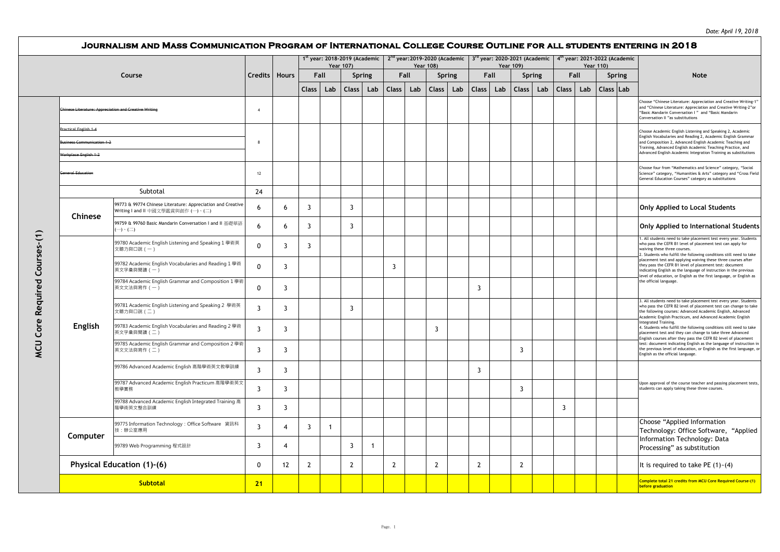|                           |                                                                                                           |                |                |                | <b>Year 107)</b> | 1 <sup>st</sup> year: 2018-2019 (Academic |             |              |      | <b>Year 108)</b> |     | $2^{nd}$ year: 2019-2020 (Academic $ 3^{rd}$ year: 2020-2021 (Academic $ $ |     | <b>Year 109)</b> |        |              | <b>Year 110)</b> | 4 <sup>th</sup> year: 2021-2022 (Academic |                                                                                                                                                                                                                                                                      |
|---------------------------|-----------------------------------------------------------------------------------------------------------|----------------|----------------|----------------|------------------|-------------------------------------------|-------------|--------------|------|------------------|-----|----------------------------------------------------------------------------|-----|------------------|--------|--------------|------------------|-------------------------------------------|----------------------------------------------------------------------------------------------------------------------------------------------------------------------------------------------------------------------------------------------------------------------|
| Course                    |                                                                                                           | Credits        | <b>Hours</b>   | Fall           |                  | Spring                                    |             |              | Fall | Spring           |     | Fall                                                                       |     |                  | Spring |              | Fall             | Spring                                    | <b>Note</b>                                                                                                                                                                                                                                                          |
|                           |                                                                                                           |                |                | <b>Class</b>   | Lab              | <b>Class</b>                              | Lab         | <b>Class</b> | Lab  | Class            | Lab | <b>Class</b>                                                               | Lab | Class            | Lab    | <b>Class</b> | Lab              | Class Lab                                 |                                                                                                                                                                                                                                                                      |
|                           | <b>Chinese Literature: Appreciation and Creative Writing</b>                                              | $\overline{4}$ |                |                |                  |                                           |             |              |      |                  |     |                                                                            |     |                  |        |              |                  |                                           | Choose "Chinese Literature: Appreciation and Creative Writing-1'<br>and "Chinese Literature: Appreciation and Creative Writing-2"or<br>"Basic Mandarin Conversation I" and "Basic Mandarin<br>Conversation II "as substitutions                                      |
| Practical English 1-4     |                                                                                                           |                |                |                |                  |                                           |             |              |      |                  |     |                                                                            |     |                  |        |              |                  |                                           | Choose Academic English Listening and Speaking 2, Academic                                                                                                                                                                                                           |
| usiness Communication 1-2 |                                                                                                           |                |                |                |                  |                                           |             |              |      |                  |     |                                                                            |     |                  |        |              |                  |                                           | English Vocabularies and Reading 2, Academic English Grammar<br>and Composition 2, Advanced English Academic Teaching and<br>Training, Advanced English Academic Teaching Practice, and                                                                              |
| Workplace English 1-2     |                                                                                                           |                |                |                |                  |                                           |             |              |      |                  |     |                                                                            |     |                  |        |              |                  |                                           | Advanced English Academic Integration Training as substitutions                                                                                                                                                                                                      |
| <b>General Education</b>  |                                                                                                           | 12             |                |                |                  |                                           |             |              |      |                  |     |                                                                            |     |                  |        |              |                  |                                           | Choose four from "Mathematics and Science" category, "Social<br>Science" category, "Humanities & Arts" category and "Cross Field<br>General Education Courses" category as substitutions                                                                             |
|                           | Subtotal                                                                                                  | 24             |                |                |                  |                                           |             |              |      |                  |     |                                                                            |     |                  |        |              |                  |                                           |                                                                                                                                                                                                                                                                      |
| Chinese                   | 99773 & 99774 Chinese Literature: Appreciation and Creative<br>Writing I and II 中國文學鑑賞與創作 (一)、(二)         | 6              | 6              | $\overline{3}$ |                  | $\overline{3}$                            |             |              |      |                  |     |                                                                            |     |                  |        |              |                  |                                           | <b>Only Applied to Local Students</b>                                                                                                                                                                                                                                |
|                           | 99759 & 99760 Basic Mandarin Conversation I and II 基礎華語<br>$\rightarrow$ $\cdot$ $\left( \square \right)$ | 6              | 6              | $\overline{3}$ |                  | $\overline{3}$                            |             |              |      |                  |     |                                                                            |     |                  |        |              |                  |                                           | Only Applied to International Students                                                                                                                                                                                                                               |
|                           | 99780 Academic English Listening and Speaking 1 學術英<br>文聽力與口說 (一)                                         | $\Omega$       | 3              | 3              |                  |                                           |             |              |      |                  |     |                                                                            |     |                  |        |              |                  |                                           | 1. All students need to take placement test every year. Students<br>who pass the CEFR B1 level of placement test can apply for<br>waiving these three courses.<br>2. Students who fulfill the following conditions still need to take                                |
|                           | 99782 Academic English Vocabularies and Reading 1 學術<br>英文字彙與閱讀 (一)                                       | $\mathbf{0}$   | 3              |                |                  |                                           |             | 3            |      |                  |     |                                                                            |     |                  |        |              |                  |                                           | placement test and applying waiving these three courses after<br>they pass the CEFR B1 level of placement test: document<br>indicating English as the language of instruction in the previous<br>level of education, or English as the first language, or English as |
|                           | 99784 Academic English Grammar and Composition 1 學術<br>英文文法與寫作 (一)                                        | 0              | 3              |                |                  |                                           |             |              |      |                  |     | 3                                                                          |     |                  |        |              |                  |                                           | the official language.                                                                                                                                                                                                                                               |
|                           | 99781 Academic English Listening and Speaking 2 學術英<br>文聽力與口說 (二)                                         | 3              | 3              |                |                  | 3                                         |             |              |      |                  |     |                                                                            |     |                  |        |              |                  |                                           | 3. All students need to take placement test every year. Students<br>who pass the CEFR B2 level of placement test can change to take<br>the following courses: Advanced Academic English, Advanced<br>Academic English Practicum, and Advanced Academic English       |
| English                   | 99783 Academic English Vocabularies and Reading 2 學術<br>英文字彙與閱讀 (二)                                       | 3              | 3              |                |                  |                                           |             |              |      | 3                |     |                                                                            |     |                  |        |              |                  |                                           | Integrated Training.<br>4. Students who fulfill the following conditions still need to take<br>placement test and they can change to take three Advanced<br>English courses after they pass the CEFR B2 level of placement                                           |
|                           | 99785 Academic English Grammar and Composition 2 學術<br>英文文法與寫作 (二)                                        | 3              | 3              |                |                  |                                           |             |              |      |                  |     |                                                                            |     | 3                |        |              |                  |                                           | test: document indicating English as the language of instruction in<br>the previous level of education, or English as the first language, o<br>English as the official language.                                                                                     |
|                           | 99786 Advanced Academic English 高階學術英文教學訓練                                                                | 3              | 3              |                |                  |                                           |             |              |      |                  |     | 3                                                                          |     |                  |        |              |                  |                                           |                                                                                                                                                                                                                                                                      |
|                           | 99787 Advanced Academic English Practicum 高階學術英文<br>教學實務                                                  | 3              | 3              |                |                  |                                           |             |              |      |                  |     |                                                                            |     | 3                |        |              |                  |                                           | Upon approval of the course teacher and passing placement tests,<br>students can apply taking these three courses.                                                                                                                                                   |
|                           | 99788 Advanced Academic English Integrated Training 高<br>階學術英文整合訓練                                        | 3              | 3              |                |                  |                                           |             |              |      |                  |     |                                                                            |     |                  |        | 3            |                  |                                           |                                                                                                                                                                                                                                                                      |
| Computer                  | 99775 Information Technology: Office Software 資訊科<br>技:辦公室應用                                              | $\overline{3}$ | $\overline{4}$ | $\overline{3}$ | -1               |                                           |             |              |      |                  |     |                                                                            |     |                  |        |              |                  |                                           | Choose "Applied Information<br>Technology: Office Software, "Applied                                                                                                                                                                                                 |
|                           | 99789 Web Programming 程式設計                                                                                | 3              | $\overline{4}$ |                |                  | 3                                         | $\mathbf 1$ |              |      |                  |     |                                                                            |     |                  |        |              |                  |                                           | Information Technology: Data<br>Processing" as substitution                                                                                                                                                                                                          |
|                           | Physical Education (1)-(6)                                                                                | $\mathbf{0}$   | 12             | $\overline{2}$ |                  | 2                                         |             | $\mathbf{2}$ |      | $\overline{2}$   |     | $\overline{2}$                                                             |     | $\overline{2}$   |        |              |                  |                                           | It is required to take PE $(1)$ - $(4)$                                                                                                                                                                                                                              |
|                           | <b>Subtotal</b>                                                                                           | 21             |                |                |                  |                                           |             |              |      |                  |     |                                                                            |     |                  |        |              |                  |                                           | Complete total 21 credits from MCU Core Required Course-(1)<br>before graduation                                                                                                                                                                                     |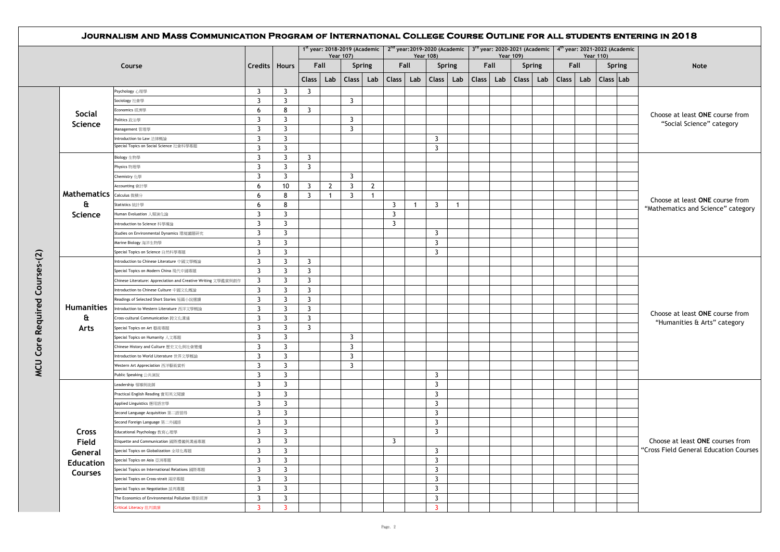|                                                   |                                                               |                     |                                  |                |                | 1st year: 2018-2019 (Academic   $2^{nd}$ year: 2019-2020 (Academic   $3^{rd}$ year: 2020-2021 (Academic   4 <sup>th</sup> year: 2021-2022 (Academic<br>Year 107) |                |                | <b>Year 108)</b> |                         |     |           |      | Year 109) |               |                    |     | Year 110) |               |                                                                            |
|---------------------------------------------------|---------------------------------------------------------------|---------------------|----------------------------------|----------------|----------------|------------------------------------------------------------------------------------------------------------------------------------------------------------------|----------------|----------------|------------------|-------------------------|-----|-----------|------|-----------|---------------|--------------------|-----|-----------|---------------|----------------------------------------------------------------------------|
|                                                   | Course                                                        | Credits   Hours     |                                  | Fall           |                | <b>Spring</b>                                                                                                                                                    |                |                | Fall             | <b>Spring</b>           |     |           | Fall |           | <b>Spring</b> | Fall               |     |           | <b>Spring</b> | Note                                                                       |
|                                                   |                                                               |                     |                                  | <b>Class</b>   | Lab            | Class                                                                                                                                                            | Lab            | Class          | Lab              | Class                   | Lab | Class Lab |      | Class     | Lab           | Class <sup>1</sup> | Lab |           | Class Lab     |                                                                            |
|                                                   | Psychology 心理學                                                | 3                   | $\overline{3}$                   | 3              |                |                                                                                                                                                                  |                |                |                  |                         |     |           |      |           |               |                    |     |           |               |                                                                            |
|                                                   | Sociology 社會學                                                 | $\overline{3}$      | $\overline{3}$                   |                |                | $\overline{3}$                                                                                                                                                   |                |                |                  |                         |     |           |      |           |               |                    |     |           |               |                                                                            |
|                                                   | Economics 經濟學                                                 | 6                   | 8                                | 3              |                |                                                                                                                                                                  |                |                |                  |                         |     |           |      |           |               |                    |     |           |               |                                                                            |
| <b>Social</b>                                     | Politics 政治學                                                  | 3                   | $\overline{3}$                   |                |                | 3                                                                                                                                                                |                |                |                  |                         |     |           |      |           |               |                    |     |           |               | Choose at least ONE course from                                            |
| <b>Science</b>                                    | Management 管理學                                                | 3                   | 3                                |                |                | 3                                                                                                                                                                |                |                |                  |                         |     |           |      |           |               |                    |     |           |               | "Social Science" category                                                  |
|                                                   | Introduction to Law 法律概論                                      | $\overline{3}$      | $\overline{3}$                   |                |                |                                                                                                                                                                  |                |                |                  | 3                       |     |           |      |           |               |                    |     |           |               |                                                                            |
|                                                   | Special Topics on Social Science 社會科學專題                       | 3                   | $\overline{3}$                   |                |                |                                                                                                                                                                  |                |                |                  | $\overline{3}$          |     |           |      |           |               |                    |     |           |               |                                                                            |
|                                                   | Biology 生物學                                                   | 3                   | 3                                | 3              |                |                                                                                                                                                                  |                |                |                  |                         |     |           |      |           |               |                    |     |           |               |                                                                            |
|                                                   | Physics 物理學                                                   | $\overline{3}$      | $\overline{3}$                   | $\overline{3}$ |                |                                                                                                                                                                  |                |                |                  |                         |     |           |      |           |               |                    |     |           |               |                                                                            |
|                                                   | Chemistry 化學                                                  | $\overline{3}$      | $\overline{3}$                   |                |                | $\overline{3}$                                                                                                                                                   |                |                |                  |                         |     |           |      |           |               |                    |     |           |               | Choose at least ONE course from<br>"Mathematics and Science" category      |
| <b>Mathematics</b>   Calculus 微積分<br>a<br>Science | Accounting 會計學                                                | 6                   | 10                               | 3              | $\overline{2}$ | $\overline{3}$                                                                                                                                                   | $\overline{2}$ |                |                  |                         |     |           |      |           |               |                    |     |           |               |                                                                            |
|                                                   |                                                               | 6                   | 8                                | 3              | $\overline{1}$ | 3                                                                                                                                                                | $\overline{1}$ |                |                  |                         |     |           |      |           |               |                    |     |           |               |                                                                            |
|                                                   | Statistics 統計學                                                | 6                   | 8                                |                |                |                                                                                                                                                                  |                | 3              | -1               | 3                       | -1  |           |      |           |               |                    |     |           |               |                                                                            |
|                                                   | Human Evoluation 人類演化論                                        | 3                   | $\overline{\mathbf{3}}$          |                |                |                                                                                                                                                                  |                | 3              |                  |                         |     |           |      |           |               |                    |     |           |               |                                                                            |
|                                                   | Introduction to Science 科學導論                                  | 3                   | 3                                |                |                |                                                                                                                                                                  |                | 3              |                  |                         |     |           |      |           |               |                    |     |           |               |                                                                            |
|                                                   | Studies on Environmental Dynamics 環境議題研究                      | 3                   | $\overline{3}$                   |                |                |                                                                                                                                                                  |                |                |                  | 3                       |     |           |      |           |               |                    |     |           |               |                                                                            |
|                                                   | Marine Biology 海洋生物學                                          | 3                   | $\overline{3}$                   |                |                |                                                                                                                                                                  |                |                |                  | $\overline{3}$          |     |           |      |           |               |                    |     |           |               |                                                                            |
|                                                   | Special Topics on Science 自然科學專題                              | $\overline{3}$      | $\overline{3}$                   |                |                |                                                                                                                                                                  |                |                |                  | $\overline{3}$          |     |           |      |           |               |                    |     |           |               |                                                                            |
|                                                   | Introduction to Chinese Literature 中國文學概論                     | 3                   | $\overline{\mathbf{3}}$          | 3              |                |                                                                                                                                                                  |                |                |                  |                         |     |           |      |           |               |                    |     |           |               |                                                                            |
| <b>Humanities</b>                                 | Special Topics on Modern China 現代中國專題                         | 3                   | $\overline{3}$                   | 3              |                |                                                                                                                                                                  |                |                |                  |                         |     |           |      |           |               |                    |     |           |               |                                                                            |
|                                                   | Chinese Literature: Appreciation and Creative Writing 文學鑑賞與創作 | 3                   | $\overline{3}$                   | 3              |                |                                                                                                                                                                  |                |                |                  |                         |     |           |      |           |               |                    |     |           |               |                                                                            |
|                                                   | Introduction to Chinese Culture 中國文化概論                        | 3                   | $\overline{3}$                   | 3              |                |                                                                                                                                                                  |                |                |                  |                         |     |           |      |           |               |                    |     |           |               |                                                                            |
|                                                   | Readings of Selected Short Stories 短篇小說選讀                     | $\overline{3}$      | $\overline{3}$                   | 3              |                |                                                                                                                                                                  |                |                |                  |                         |     |           |      |           |               |                    |     |           |               |                                                                            |
|                                                   | Introduction to Western Literature 西洋文學概論                     | 3                   | 3                                | 3              |                |                                                                                                                                                                  |                |                |                  |                         |     |           |      |           |               |                    |     |           |               |                                                                            |
| a                                                 | Cross-cultural Communication 跨文化溝通                            | 3                   | 3                                | 3              |                |                                                                                                                                                                  |                |                |                  |                         |     |           |      |           |               |                    |     |           |               | Choose at least ONE course from                                            |
| Arts                                              | Special Topics on Art 藝術專題                                    | $\overline{3}$      | $\overline{3}$                   | 3              |                |                                                                                                                                                                  |                |                |                  |                         |     |           |      |           |               |                    |     |           |               | "Humanities & Arts" category                                               |
|                                                   | Special Topics on Humanity 人文專題                               | 3                   | $\overline{3}$                   |                |                | 3                                                                                                                                                                |                |                |                  |                         |     |           |      |           |               |                    |     |           |               |                                                                            |
|                                                   | Chinese History and Culture 歷史文化與社會變遷                         | 3                   | $\overline{3}$                   |                |                | $\overline{3}$                                                                                                                                                   |                |                |                  |                         |     |           |      |           |               |                    |     |           |               |                                                                            |
|                                                   | Introduction to World Literature 世界文學概論                       | $\overline{3}$      | $\overline{3}$                   |                |                | $\overline{3}$                                                                                                                                                   |                |                |                  |                         |     |           |      |           |               |                    |     |           |               |                                                                            |
|                                                   |                                                               | 3                   | $\overline{3}$                   |                |                | $\overline{3}$                                                                                                                                                   |                |                |                  |                         |     |           |      |           |               |                    |     |           |               |                                                                            |
|                                                   | Western Art Appreciation 西洋藝術賞析                               | 3                   | $\overline{3}$                   |                |                |                                                                                                                                                                  |                |                |                  | 3                       |     |           |      |           |               |                    |     |           |               |                                                                            |
|                                                   | Public Speaking 公共演說                                          |                     |                                  |                |                |                                                                                                                                                                  |                |                |                  | $\overline{3}$          |     |           |      |           |               |                    |     |           |               |                                                                            |
|                                                   | Leadership 領導與統御                                              | 3<br>$\overline{3}$ | $\overline{3}$<br>$\overline{3}$ |                |                |                                                                                                                                                                  |                |                |                  | 3                       |     |           |      |           |               |                    |     |           |               |                                                                            |
|                                                   | Practical English Reading 實用英文閱讀                              | $\overline{3}$      | $\overline{3}$                   |                |                |                                                                                                                                                                  |                |                |                  | $\overline{3}$          |     |           |      |           |               |                    |     |           |               |                                                                            |
|                                                   | Applied Linguistics 應用語言學                                     |                     |                                  |                |                |                                                                                                                                                                  |                |                |                  |                         |     |           |      |           |               |                    |     |           |               |                                                                            |
|                                                   | Second Language Acquisition 第二語習得                             | 3                   | 3                                |                |                |                                                                                                                                                                  |                |                |                  | 3                       |     |           |      |           |               |                    |     |           |               |                                                                            |
|                                                   | Second Foreign Language 第二外國語                                 | 3                   | $\overline{3}$                   |                |                |                                                                                                                                                                  |                |                |                  | $\overline{3}$          |     |           |      |           |               |                    |     |           |               |                                                                            |
| Cross                                             | Educational Psychology 教育心理學                                  | 3<br>$\overline{3}$ | $\overline{3}$                   |                |                |                                                                                                                                                                  |                | $\overline{3}$ |                  | $\overline{3}$          |     |           |      |           |               |                    |     |           |               |                                                                            |
| Field                                             | Etiquette and Communication 國際禮儀與溝通專題                         |                     | $\overline{3}$                   |                |                |                                                                                                                                                                  |                |                |                  |                         |     |           |      |           |               |                    |     |           |               | Choose at least ONE courses from<br>"Cross Field General Education Courses |
| General                                           | Special Topics on Globalization 全球化專題                         | 3                   | $\overline{3}$                   |                |                |                                                                                                                                                                  |                |                |                  | $\overline{\mathbf{3}}$ |     |           |      |           |               |                    |     |           |               |                                                                            |
| <b>Education</b>                                  | Special Topics on Asia 亞洲專題                                   | 3                   | 3                                |                |                |                                                                                                                                                                  |                |                |                  | $\overline{3}$          |     |           |      |           |               |                    |     |           |               |                                                                            |
| Courses                                           | Special Topics on International Relations 國際專題                | 3                   | $\overline{3}$                   |                |                |                                                                                                                                                                  |                |                |                  | $\overline{3}$          |     |           |      |           |               |                    |     |           |               |                                                                            |
|                                                   | Special Topics on Cross-strait 兩岸專題                           | 3                   | $\overline{3}$                   |                |                |                                                                                                                                                                  |                |                |                  | $\overline{3}$          |     |           |      |           |               |                    |     |           |               |                                                                            |
|                                                   | Special Topics on Negotiation 談判專題                            | 3                   | $\overline{3}$                   |                |                |                                                                                                                                                                  |                |                |                  | $\overline{3}$          |     |           |      |           |               |                    |     |           |               |                                                                            |
|                                                   | The Economics of Environmental Pollution 環保經濟                 | 3                   | 3                                |                |                |                                                                                                                                                                  |                |                |                  | $\overline{3}$          |     |           |      |           |               |                    |     |           |               |                                                                            |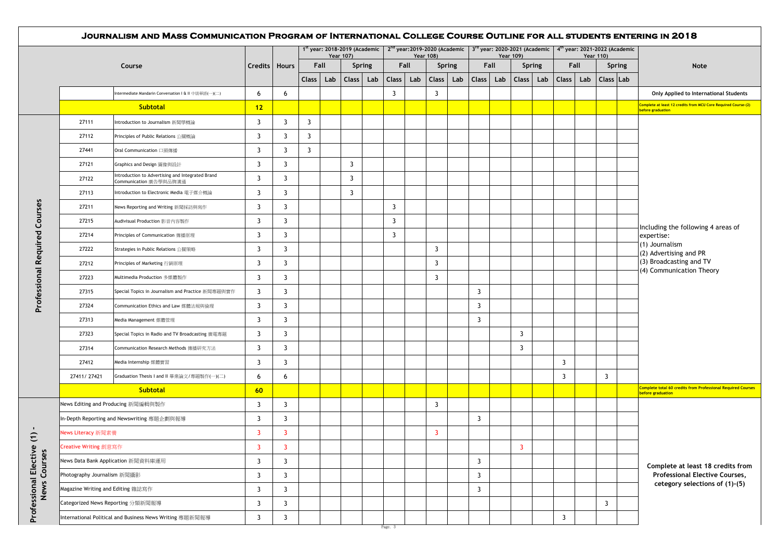|                                       |                             | JOURNALISM AND MASS COMMUNICATION PROGRAM OF INTERNATIONAL COLLEGE COURSE OUTLINE FOR ALL STUDENTS ENTERING IN 2018 |                         |                |                |      |                  |        |                |      |                  |               |                         |     |                         |     |                                                                                                                                                     |     |                  |               |                                                                                          |
|---------------------------------------|-----------------------------|---------------------------------------------------------------------------------------------------------------------|-------------------------|----------------|----------------|------|------------------|--------|----------------|------|------------------|---------------|-------------------------|-----|-------------------------|-----|-----------------------------------------------------------------------------------------------------------------------------------------------------|-----|------------------|---------------|------------------------------------------------------------------------------------------|
|                                       |                             |                                                                                                                     |                         |                |                |      | <b>Year 107)</b> |        |                |      | <b>Year 108)</b> |               |                         |     | <b>Year 109)</b>        |     | 1st year: 2018-2019 (Academic   $2^{nd}$ year: 2019-2020 (Academic   $3^{rd}$ year: 2020-2021 (Academic   4 <sup>th</sup> year: 2021-2022 (Academic |     | <b>Year 110)</b> |               |                                                                                          |
|                                       |                             | Course                                                                                                              | Credits   Hours         |                |                | Fall |                  | Spring |                | Fall |                  | <b>Spring</b> | Fall                    |     | <b>Spring</b>           |     | Fall                                                                                                                                                |     |                  | <b>Spring</b> | Note                                                                                     |
|                                       |                             |                                                                                                                     |                         |                | <b>Class</b>   | Lab  | <b>Class</b>     | Lab    | <b>Class</b>   | Lab  | Class            | Lab           | <b>Class</b>            | Lab | <b>Class</b>            | Lab | Class <sup>1</sup>                                                                                                                                  | Lab | Class Lab        |               |                                                                                          |
|                                       |                             | Intermediate Mandarin Conversation I & II 中級華語(一)(二)                                                                | 6                       | 6              |                |      |                  |        | $\overline{3}$ |      | $\overline{3}$   |               |                         |     |                         |     |                                                                                                                                                     |     |                  |               | Only Applied to International Students                                                   |
|                                       |                             | <b>Subtotal</b>                                                                                                     | 12                      |                |                |      |                  |        |                |      |                  |               |                         |     |                         |     |                                                                                                                                                     |     |                  |               | Complete at least 12 credits from MCU Core Required Course-(2)<br>before graduation      |
|                                       | 27111                       | Introduction to Journalism 新聞學概論                                                                                    | 3                       | 3              | 3              |      |                  |        |                |      |                  |               |                         |     |                         |     |                                                                                                                                                     |     |                  |               |                                                                                          |
|                                       | 27112                       | Principles of Public Relations 公關概論                                                                                 | $\overline{3}$          | 3              | $\overline{3}$ |      |                  |        |                |      |                  |               |                         |     |                         |     |                                                                                                                                                     |     |                  |               |                                                                                          |
|                                       | 27441                       | Oral Communication 口頭傳播                                                                                             | $\overline{3}$          | 3              | $\overline{3}$ |      |                  |        |                |      |                  |               |                         |     |                         |     |                                                                                                                                                     |     |                  |               |                                                                                          |
|                                       | 27121                       | Graphics and Design 圖像與設計                                                                                           | $\overline{3}$          | 3              |                |      | $\overline{3}$   |        |                |      |                  |               |                         |     |                         |     |                                                                                                                                                     |     |                  |               |                                                                                          |
|                                       | 27122                       | Introduction to Advertising and Integrated Brand<br>Communication 廣告學與品牌溝通                                          | $\overline{3}$          | 3              |                |      | $\overline{3}$   |        |                |      |                  |               |                         |     |                         |     |                                                                                                                                                     |     |                  |               |                                                                                          |
|                                       | 27113                       | Introduction to Electronic Media 電子媒介概論                                                                             | 3                       | 3              |                |      | $\overline{3}$   |        |                |      |                  |               |                         |     |                         |     |                                                                                                                                                     |     |                  |               |                                                                                          |
|                                       | 27211                       | News Reporting and Writing 新聞採訪與寫作                                                                                  | $\overline{3}$          | 3              |                |      |                  |        | $\overline{3}$ |      |                  |               |                         |     |                         |     |                                                                                                                                                     |     |                  |               | Including the following 4 areas of<br>expertise:                                         |
| Courses                               | 27215                       | Audivisual Production 影音内容製作                                                                                        | 3                       | 3              |                |      |                  |        | 3              |      |                  |               |                         |     |                         |     |                                                                                                                                                     |     |                  |               |                                                                                          |
|                                       | 27214                       | Principles of Communication 傳播原理                                                                                    | $\overline{3}$          | 3              |                |      |                  |        | $\overline{3}$ |      |                  |               |                         |     |                         |     |                                                                                                                                                     |     |                  |               |                                                                                          |
|                                       | 27222                       | Strategies in Public Relations 公關策略                                                                                 | $\overline{3}$          | 3              |                |      |                  |        |                |      | $\overline{3}$   |               |                         |     |                         |     |                                                                                                                                                     |     |                  |               | (1) Journalism<br>(2) Advertising and PR                                                 |
| <b>Professional Required</b>          | 27212                       | Principles of Marketing 行銷原理                                                                                        | $\overline{3}$          | 3              |                |      |                  |        |                |      | 3                |               |                         |     |                         |     |                                                                                                                                                     |     |                  |               | (3) Broadcasting and TV                                                                  |
|                                       | 27223                       | Multimedia Production 多媒體製作                                                                                         | 3                       | 3              |                |      |                  |        |                |      | 3                |               |                         |     |                         |     |                                                                                                                                                     |     |                  |               | (4) Communication Theory                                                                 |
|                                       | 27315                       | Special Topics in Journalism and Practice 新聞專題與實作                                                                   | 3                       | 3              |                |      |                  |        |                |      |                  |               | $\overline{3}$          |     |                         |     |                                                                                                                                                     |     |                  |               |                                                                                          |
|                                       | 27324                       | Communication Ethics and Law 媒體法規與倫理                                                                                | $\overline{3}$          | 3              |                |      |                  |        |                |      |                  |               | 3                       |     |                         |     |                                                                                                                                                     |     |                  |               |                                                                                          |
|                                       | 27313                       | Media Management 媒體管理                                                                                               | $\overline{3}$          | 3              |                |      |                  |        |                |      |                  |               | 3                       |     |                         |     |                                                                                                                                                     |     |                  |               |                                                                                          |
|                                       | 27323                       | Special Topics in Radio and TV Broadcasting 廣電專題                                                                    | $\overline{3}$          | 3              |                |      |                  |        |                |      |                  |               |                         |     | $\overline{3}$          |     |                                                                                                                                                     |     |                  |               |                                                                                          |
|                                       | 27314                       | Communication Research Methods 傳播研究方法                                                                               | 3                       | 3              |                |      |                  |        |                |      |                  |               |                         |     | $\overline{3}$          |     |                                                                                                                                                     |     |                  |               |                                                                                          |
|                                       | 27412                       | Media Internship 媒體實習                                                                                               | $\overline{3}$          | 3              |                |      |                  |        |                |      |                  |               |                         |     |                         |     | $\overline{3}$                                                                                                                                      |     |                  |               |                                                                                          |
|                                       | 27411/27421                 | Graduation Thesis I and II 畢業論文/專題製作(一)(二)                                                                          | 6                       | 6              |                |      |                  |        |                |      |                  |               |                         |     |                         |     | 3                                                                                                                                                   |     | $\overline{3}$   |               |                                                                                          |
|                                       |                             | <b>Subtotal</b>                                                                                                     | 60                      |                |                |      |                  |        |                |      |                  |               |                         |     |                         |     |                                                                                                                                                     |     |                  |               | <b>Complete total 60 credits from Professional Required Courses</b><br>before graduation |
|                                       |                             | News Editing and Producing 新聞編輯與製作                                                                                  | $\overline{3}$          | 3              |                |      |                  |        |                |      | 3                |               |                         |     |                         |     |                                                                                                                                                     |     |                  |               |                                                                                          |
|                                       |                             | In-Depth Reporting and Newswriting 專題企劃與報導                                                                          | $\overline{3}$          | 3              |                |      |                  |        |                |      |                  |               | 3                       |     |                         |     |                                                                                                                                                     |     |                  |               |                                                                                          |
| $\hat{=}$                             | News Literacy 新聞素養          |                                                                                                                     | $\overline{\mathbf{3}}$ | 3              |                |      |                  |        |                |      | -3               |               |                         |     |                         |     |                                                                                                                                                     |     |                  |               |                                                                                          |
|                                       | Creative Writing 創意寫作       |                                                                                                                     | 3                       | 3              |                |      |                  |        |                |      |                  |               |                         |     | $\overline{\mathbf{3}}$ |     |                                                                                                                                                     |     |                  |               |                                                                                          |
|                                       |                             | News Data Bank Application 新聞資料庫運用                                                                                  | $\overline{3}$          | 3              |                |      |                  |        |                |      |                  |               | $\overline{\mathbf{3}}$ |     |                         |     |                                                                                                                                                     |     |                  |               |                                                                                          |
|                                       | Photography Journalism 新聞攝影 |                                                                                                                     | $\overline{3}$          | $\overline{3}$ |                |      |                  |        |                |      |                  |               | $\overline{3}$          |     |                         |     |                                                                                                                                                     |     |                  |               | Complete at least 18 credits from<br><b>Professional Elective Courses,</b>               |
|                                       |                             | Magazine Writing and Editing 雜誌寫作                                                                                   |                         | $\overline{3}$ |                |      |                  |        |                |      |                  |               | 3                       |     |                         |     |                                                                                                                                                     |     |                  |               | cetegory selections of (1)-(5)                                                           |
| Professional Elective<br>News Courses |                             | Categorized News Reporting 分類新聞報導                                                                                   | $\overline{3}$          | $\overline{3}$ |                |      |                  |        |                |      |                  |               |                         |     |                         |     |                                                                                                                                                     |     | $\overline{3}$   |               |                                                                                          |
|                                       |                             | International Political and Business News Writing 專題新聞報導                                                            |                         | 3              |                |      |                  |        |                |      |                  |               |                         |     |                         |     | $\overline{3}$                                                                                                                                      |     |                  |               |                                                                                          |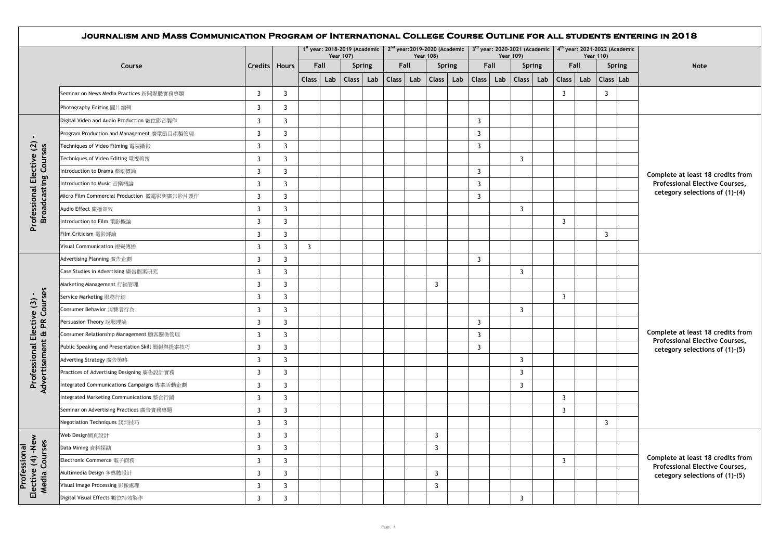|                                                    | JOURNALISM AND MASS COMMUNICATION PROGRAM OF INTERNATIONAL COLLEGE COURSE OUTLINE FOR ALL STUDENTS ENTERING IN 2018 |                 |                |                                                                                                                                                                   |                  |        |       |                  |              |     |       |      |                  |               |                |      |                  |  |                                                                         |
|----------------------------------------------------|---------------------------------------------------------------------------------------------------------------------|-----------------|----------------|-------------------------------------------------------------------------------------------------------------------------------------------------------------------|------------------|--------|-------|------------------|--------------|-----|-------|------|------------------|---------------|----------------|------|------------------|--|-------------------------------------------------------------------------|
|                                                    |                                                                                                                     |                 |                | 1st year: 2018-2019 (Academic   2 <sup>nd</sup> year: 2019-2020 (Academic   3 <sup>rd</sup> year: 2020-2021 (Academic   4 <sup>th</sup> year: 2021-2022 (Academic | <b>Year 107)</b> |        |       | <b>Year 108)</b> |              |     |       |      | <b>Year 109)</b> |               |                |      | <b>Year 110)</b> |  |                                                                         |
|                                                    | Course                                                                                                              | Credits   Hours |                | Fall                                                                                                                                                              |                  | Spring |       | Fall             | Spring       |     |       | Fall |                  | <b>Spring</b> |                | Fall | <b>Spring</b>    |  | <b>Note</b>                                                             |
|                                                    |                                                                                                                     |                 |                | <b>Class</b><br>Lab                                                                                                                                               | <b>Class</b>     | Lab    | Class | Lab              | <b>Class</b> | Lab | Class | Lab  | <b>Class</b>     | Lab           | <b>Class</b>   | Lab  | Class Lab        |  |                                                                         |
|                                                    | Seminar on News Media Practices 新聞媒體實務專題                                                                            | 3               | $\overline{3}$ |                                                                                                                                                                   |                  |        |       |                  |              |     |       |      |                  |               | 3              |      | 3                |  |                                                                         |
|                                                    | Photography Editing 圖片編輯                                                                                            | 3               | $\overline{3}$ |                                                                                                                                                                   |                  |        |       |                  |              |     |       |      |                  |               |                |      |                  |  |                                                                         |
|                                                    | Digital Video and Audio Production 數位影音製作                                                                           | 3               | 3              |                                                                                                                                                                   |                  |        |       |                  |              |     | 3     |      |                  |               |                |      |                  |  |                                                                         |
|                                                    | Program Production and Management 廣電節目產製管理                                                                          | 3               | 3              |                                                                                                                                                                   |                  |        |       |                  |              |     | 3     |      |                  |               |                |      |                  |  |                                                                         |
| $\blacksquare$                                     | Techniques of Video Filming 電視攝影                                                                                    | 3               | 3              |                                                                                                                                                                   |                  |        |       |                  |              |     | 3     |      |                  |               |                |      |                  |  |                                                                         |
| Professional Elective (2)<br>Broadcasting Courses  | Techniques of Video Editing 電視剪接                                                                                    | 3               | 3              |                                                                                                                                                                   |                  |        |       |                  |              |     |       |      | 3                |               |                |      |                  |  |                                                                         |
|                                                    | Introduction to Drama 戲劇概論                                                                                          | 3               | 3              |                                                                                                                                                                   |                  |        |       |                  |              |     | 3     |      |                  |               |                |      |                  |  | Complete at least 18 credits from                                       |
| oadcasting                                         | Introduction to Music 音樂概論                                                                                          | 3               | 3              |                                                                                                                                                                   |                  |        |       |                  |              |     | 3     |      |                  |               |                |      |                  |  | <b>Professional Elective Courses,</b>                                   |
|                                                    | Micro Film Commercial Production 微電影與廣告影片製作                                                                         | 3               | $\overline{3}$ |                                                                                                                                                                   |                  |        |       |                  |              |     | 3     |      |                  |               |                |      |                  |  | cetegory selections of (1)-(4)                                          |
|                                                    | Audio Effect 廣播音效                                                                                                   | 3               | 3              |                                                                                                                                                                   |                  |        |       |                  |              |     |       |      | 3                |               |                |      |                  |  |                                                                         |
|                                                    | Introduction to Film 電影概論                                                                                           | 3               | 3              |                                                                                                                                                                   |                  |        |       |                  |              |     |       |      |                  |               | 3              |      |                  |  |                                                                         |
|                                                    | Film Criticism 電影評論                                                                                                 | 3               | $\overline{3}$ |                                                                                                                                                                   |                  |        |       |                  |              |     |       |      |                  |               |                |      | 3                |  |                                                                         |
|                                                    | Visual Communication 視覺傳播                                                                                           | 3               | $\overline{3}$ | 3                                                                                                                                                                 |                  |        |       |                  |              |     |       |      |                  |               |                |      |                  |  |                                                                         |
|                                                    | Advertising Planning 廣告企劃                                                                                           | 3               | 3              |                                                                                                                                                                   |                  |        |       |                  |              |     | 3     |      |                  |               |                |      |                  |  |                                                                         |
|                                                    | Case Studies in Advertising 廣告個案研究                                                                                  | 3               | 3              |                                                                                                                                                                   |                  |        |       |                  |              |     |       |      | 3                |               |                |      |                  |  |                                                                         |
|                                                    | Marketing Management 行銷管理                                                                                           | 3               | 3              |                                                                                                                                                                   |                  |        |       |                  | 3            |     |       |      |                  |               |                |      |                  |  |                                                                         |
| e (3) -<br>.ourses                                 | Service Marketing 服務行銷                                                                                              | 3               | $\overline{3}$ |                                                                                                                                                                   |                  |        |       |                  |              |     |       |      |                  |               | 3              |      |                  |  |                                                                         |
| Professional Elective (3)                          | Consumer Behavior 消費者行為                                                                                             | 3               | 3              |                                                                                                                                                                   |                  |        |       |                  |              |     |       |      | 3                |               |                |      |                  |  |                                                                         |
| $\mathbf{R}$                                       | Persuasion Theory 說服理論                                                                                              | 3               | 3              |                                                                                                                                                                   |                  |        |       |                  |              |     | 3     |      |                  |               |                |      |                  |  |                                                                         |
| $\sigma$                                           | Consumer Relationship Management 顧客關係管理                                                                             | 3               | 3              |                                                                                                                                                                   |                  |        |       |                  |              |     | 3     |      |                  |               |                |      |                  |  | Complete at least 18 credits from                                       |
|                                                    | Public Speaking and Presentation Skill 簡報與提案技巧                                                                      | 3               | 3              |                                                                                                                                                                   |                  |        |       |                  |              |     | 3     |      |                  |               |                |      |                  |  | <b>Professional Elective Courses,</b><br>cetegory selections of (1)-(5) |
| ertisement                                         | Adverting Strategy 廣告策略                                                                                             | 3               | 3              |                                                                                                                                                                   |                  |        |       |                  |              |     |       |      | 3                |               |                |      |                  |  |                                                                         |
|                                                    | Practices of Advertising Designing 廣告設計實務                                                                           | 3               | 3              |                                                                                                                                                                   |                  |        |       |                  |              |     |       |      | 3                |               |                |      |                  |  |                                                                         |
| $\frac{5}{9}$                                      | Integrated Communications Campaigns 專案活動企劃                                                                          | 3               | 3              |                                                                                                                                                                   |                  |        |       |                  |              |     |       |      | 3                |               |                |      |                  |  |                                                                         |
|                                                    | Integrated Marketing Communications 整合行銷                                                                            | 3               | 3              |                                                                                                                                                                   |                  |        |       |                  |              |     |       |      |                  |               | $\overline{3}$ |      |                  |  |                                                                         |
|                                                    | Seminar on Advertising Practices 廣告實務專題                                                                             | 3               | 3              |                                                                                                                                                                   |                  |        |       |                  |              |     |       |      |                  |               | 3              |      |                  |  |                                                                         |
|                                                    | Negotiation Techniques 談判技巧                                                                                         | 3               | $\overline{3}$ |                                                                                                                                                                   |                  |        |       |                  |              |     |       |      |                  |               |                |      | 3                |  |                                                                         |
|                                                    | Web Design網頁設計                                                                                                      | 3               | 3              |                                                                                                                                                                   |                  |        |       |                  | 3            |     |       |      |                  |               |                |      |                  |  |                                                                         |
|                                                    | Data Mining 資料探勘                                                                                                    | 3               | $\overline{3}$ |                                                                                                                                                                   |                  |        |       |                  | 3            |     |       |      |                  |               |                |      |                  |  |                                                                         |
|                                                    | Electronic Commerce 電子商務                                                                                            | 3               | 3              |                                                                                                                                                                   |                  |        |       |                  |              |     |       |      |                  |               | 3              |      |                  |  | Complete at least 18 credits from                                       |
| Professional<br>Elective (4) -New<br>Media Courses | Multimedia Design 多媒體設計                                                                                             | 3               | 3              |                                                                                                                                                                   |                  |        |       |                  | 3            |     |       |      |                  |               |                |      |                  |  | <b>Professional Elective Courses,</b><br>cetegory selections of (1)-(5) |
|                                                    | Visual Image Processing 影像處理                                                                                        | 3               | $\overline{3}$ |                                                                                                                                                                   |                  |        |       |                  | 3            |     |       |      |                  |               |                |      |                  |  |                                                                         |
|                                                    | Digital Visual Effects 數位特效製作                                                                                       | 3               | 3              |                                                                                                                                                                   |                  |        |       |                  |              |     |       |      | 3                |               |                |      |                  |  |                                                                         |